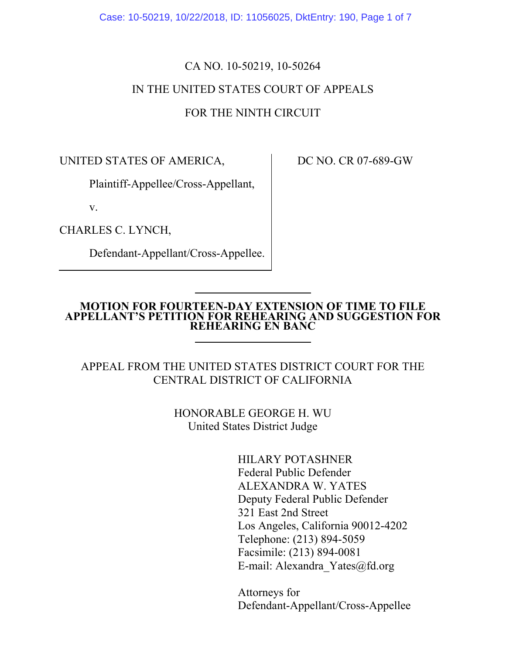Case: 10-50219, 10/22/2018, ID: 11056025, DktEntry: 190, Page 1 of 7

## CA NO. 10-50219, 10-50264 IN THE UNITED STATES COURT OF APPEALS FOR THE NINTH CIRCUIT

UNITED STATES OF AMERICA,

Plaintiff-Appellee/Cross-Appellant,

v.

CHARLES C. LYNCH,

Defendant-Appellant/Cross-Appellee.

DC NO. CR 07-689-GW

#### **MOTION FOR FOURTEEN-DAY EXTENSION OF TIME TO FILE APPELLANT'S PETITION FOR REHEARING AND SUGGESTION FOR REHEARING EN BANC**

### APPEAL FROM THE UNITED STATES DISTRICT COURT FOR THE CENTRAL DISTRICT OF CALIFORNIA

HONORABLE GEORGE H. WU United States District Judge

> HILARY POTASHNER Federal Public Defender ALEXANDRA W. YATES Deputy Federal Public Defender 321 East 2nd Street Los Angeles, California 90012-4202 Telephone: (213) 894-5059 Facsimile: (213) 894-0081 E-mail: Alexandra\_Yates@fd.org

Attorneys for Defendant-Appellant/Cross-Appellee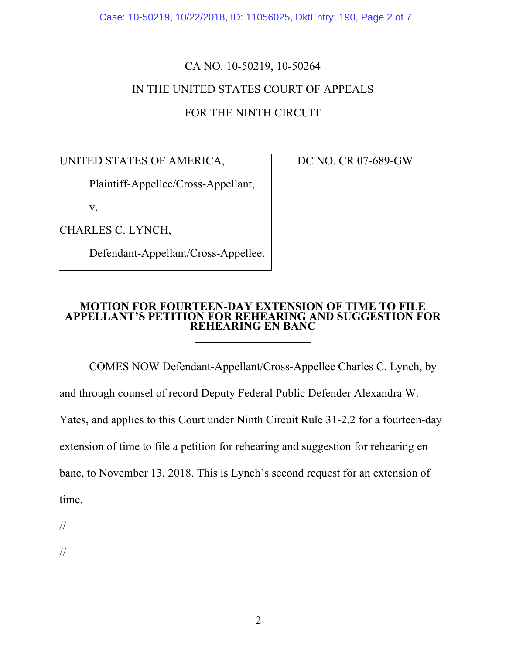Case: 10-50219, 10/22/2018, ID: 11056025, DktEntry: 190, Page 2 of 7

# CA NO. 10-50219, 10-50264 IN THE UNITED STATES COURT OF APPEALS FOR THE NINTH CIRCUIT

UNITED STATES OF AMERICA,

Plaintiff-Appellee/Cross-Appellant,

v.

CHARLES C. LYNCH,

Defendant-Appellant/Cross-Appellee.

DC NO. CR 07-689-GW

#### **MOTION FOR FOURTEEN-DAY EXTENSION OF TIME TO FILE APPELLANT'S PETITION FOR REHEARING AND SUGGESTION FOR REHEARING EN BANC**

COMES NOW Defendant-Appellant/Cross-Appellee Charles C. Lynch, by

and through counsel of record Deputy Federal Public Defender Alexandra W.

Yates, and applies to this Court under Ninth Circuit Rule 31-2.2 for a fourteen-day

extension of time to file a petition for rehearing and suggestion for rehearing en

banc, to November 13, 2018. This is Lynch's second request for an extension of

time.

//

//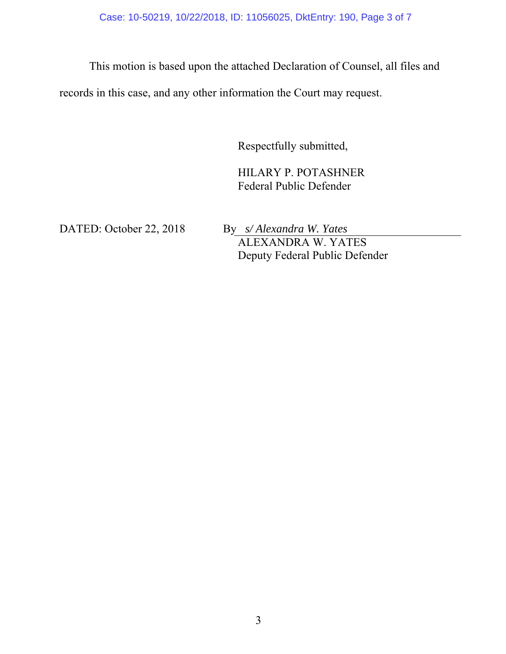Case: 10-50219, 10/22/2018, ID: 11056025, DktEntry: 190, Page 3 of 7

This motion is based upon the attached Declaration of Counsel, all files and

records in this case, and any other information the Court may request.

Respectfully submitted,

HILARY P. POTASHNER Federal Public Defender

DATED: October 22, 2018 By *s/ Alexandra W. Yates* ALEXANDRA W. YATES Deputy Federal Public Defender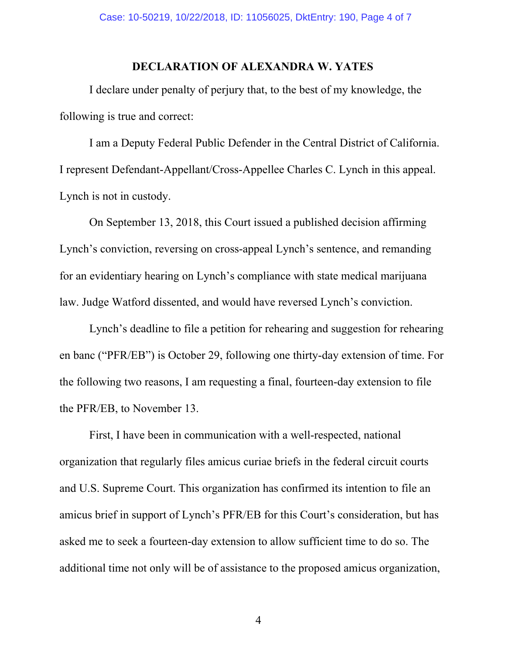### **DECLARATION OF ALEXANDRA W. YATES**

I declare under penalty of perjury that, to the best of my knowledge, the following is true and correct:

I am a Deputy Federal Public Defender in the Central District of California. I represent Defendant-Appellant/Cross-Appellee Charles C. Lynch in this appeal. Lynch is not in custody.

On September 13, 2018, this Court issued a published decision affirming Lynch's conviction, reversing on cross-appeal Lynch's sentence, and remanding for an evidentiary hearing on Lynch's compliance with state medical marijuana law. Judge Watford dissented, and would have reversed Lynch's conviction.

Lynch's deadline to file a petition for rehearing and suggestion for rehearing en banc ("PFR/EB") is October 29, following one thirty-day extension of time. For the following two reasons, I am requesting a final, fourteen-day extension to file the PFR/EB, to November 13.

First, I have been in communication with a well-respected, national organization that regularly files amicus curiae briefs in the federal circuit courts and U.S. Supreme Court. This organization has confirmed its intention to file an amicus brief in support of Lynch's PFR/EB for this Court's consideration, but has asked me to seek a fourteen-day extension to allow sufficient time to do so. The additional time not only will be of assistance to the proposed amicus organization,

4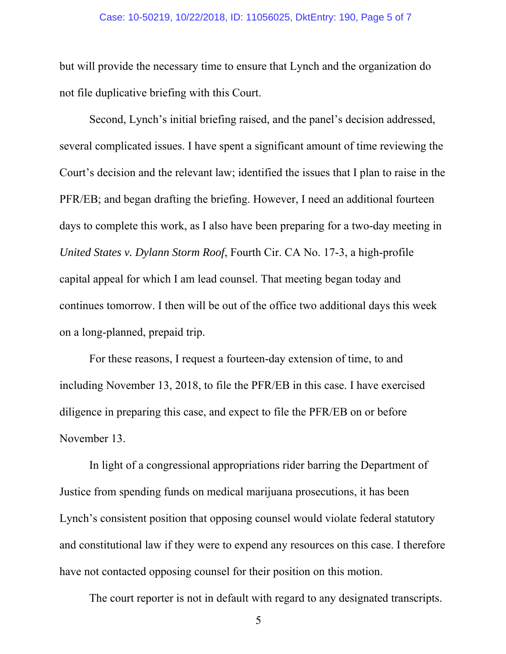#### Case: 10-50219, 10/22/2018, ID: 11056025, DktEntry: 190, Page 5 of 7

but will provide the necessary time to ensure that Lynch and the organization do not file duplicative briefing with this Court.

Second, Lynch's initial briefing raised, and the panel's decision addressed, several complicated issues. I have spent a significant amount of time reviewing the Court's decision and the relevant law; identified the issues that I plan to raise in the PFR/EB; and began drafting the briefing. However, I need an additional fourteen days to complete this work, as I also have been preparing for a two-day meeting in *United States v. Dylann Storm Roof*, Fourth Cir. CA No. 17-3, a high-profile capital appeal for which I am lead counsel. That meeting began today and continues tomorrow. I then will be out of the office two additional days this week on a long-planned, prepaid trip.

For these reasons, I request a fourteen-day extension of time, to and including November 13, 2018, to file the PFR/EB in this case. I have exercised diligence in preparing this case, and expect to file the PFR/EB on or before November 13.

In light of a congressional appropriations rider barring the Department of Justice from spending funds on medical marijuana prosecutions, it has been Lynch's consistent position that opposing counsel would violate federal statutory and constitutional law if they were to expend any resources on this case. I therefore have not contacted opposing counsel for their position on this motion.

The court reporter is not in default with regard to any designated transcripts.

5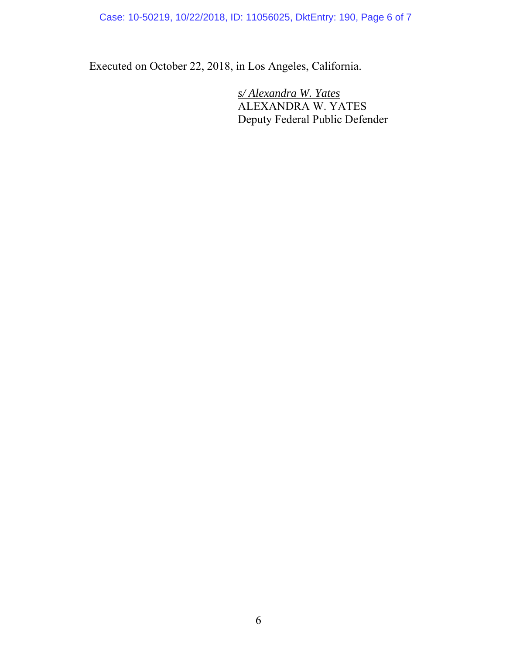Case: 10-50219, 10/22/2018, ID: 11056025, DktEntry: 190, Page 6 of 7

Executed on October 22, 2018, in Los Angeles, California.

 *s/ Alexandra W. Yates*  ALEXANDRA W. YATES Deputy Federal Public Defender